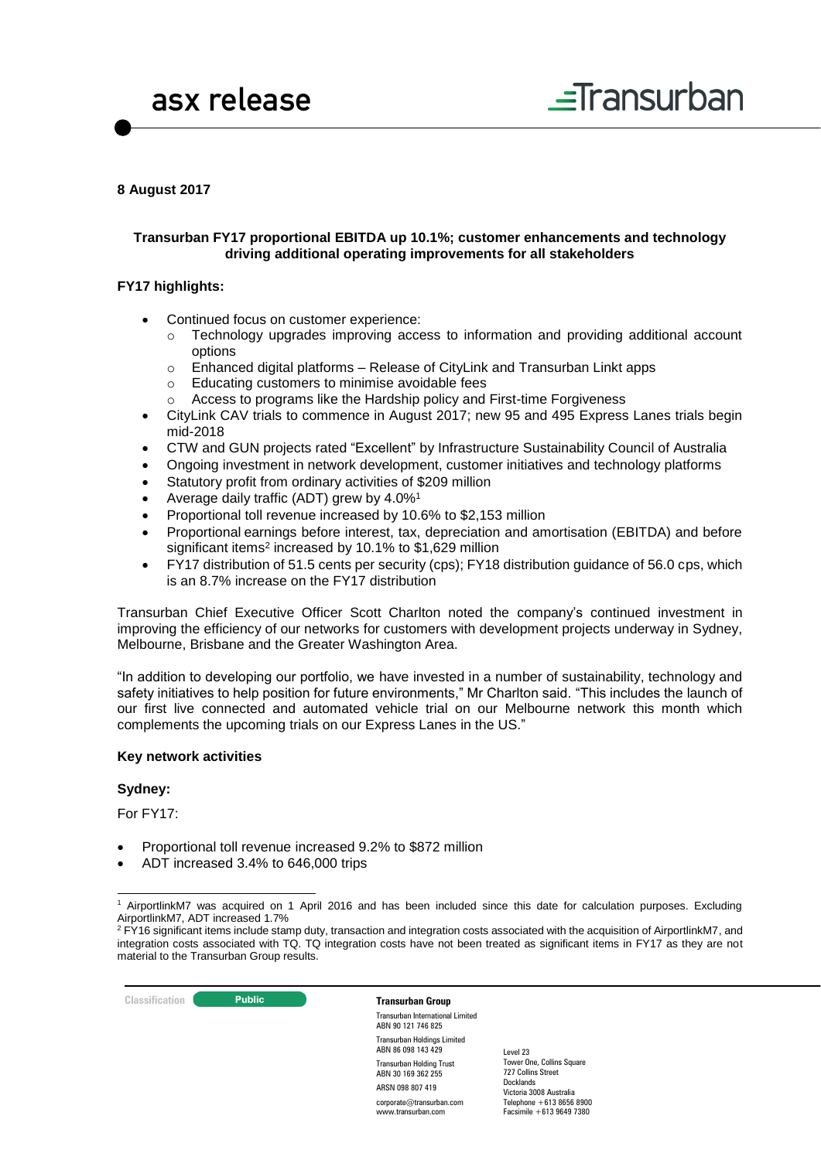

### **8 August 2017**

### **Transurban FY17 proportional EBITDA up 10.1%; customer enhancements and technology driving additional operating improvements for all stakeholders**

#### **FY17 highlights:**

- Continued focus on customer experience:
	- $\circ$  Technology upgrades improving access to information and providing additional account options
	- $\circ$  Enhanced digital platforms Release of CityLink and Transurban Linkt apps
	- o Educating customers to minimise avoidable fees
	- o Access to programs like the Hardship policy and First-time Forgiveness
- CityLink CAV trials to commence in August 2017; new 95 and 495 Express Lanes trials begin mid-2018
- CTW and GUN projects rated "Excellent" by Infrastructure Sustainability Council of Australia
- Ongoing investment in network development, customer initiatives and technology platforms
- Statutory profit from ordinary activities of \$209 million
- Average daily traffic (ADT) grew by 4.0%<sup>1</sup>
- Proportional toll revenue increased by 10.6% to \$2,153 million
- Proportional earnings before interest, tax, depreciation and amortisation (EBITDA) and before significant items<sup>2</sup> increased by 10.1% to \$1,629 million
- FY17 distribution of 51.5 cents per security (cps); FY18 distribution guidance of 56.0 cps, which is an 8.7% increase on the FY17 distribution

Transurban Chief Executive Officer Scott Charlton noted the company's continued investment in improving the efficiency of our networks for customers with development projects underway in Sydney, Melbourne, Brisbane and the Greater Washington Area.

"In addition to developing our portfolio, we have invested in a number of sustainability, technology and safety initiatives to help position for future environments," Mr Charlton said. "This includes the launch of our first live connected and automated vehicle trial on our Melbourne network this month which complements the upcoming trials on our Express Lanes in the US."

#### **Key network activities**

#### **Sydney:**

For FY17:

-

- Proportional toll revenue increased 9.2% to \$872 million
- ADT increased 3.4% to 646,000 trips

<sup>&</sup>lt;sup>2</sup> FY16 significant items include stamp duty, transaction and integration costs associated with the acquisition of AirportlinkM7, and integration costs associated with TQ. TQ integration costs have not been treated as significant items in FY17 as they are not material to the Transurban Group results.



Transurban International Limited ABN 90 121 746 825 Transurban Holdings Limited ABN 86 098 143 429 Transurban Holding Trust ABN 30 169 362 255 ARSN 098 807 419 corporate@transurban.com www.transurban.com

<sup>1</sup> AirportlinkM7 was acquired on 1 April 2016 and has been included since this date for calculation purposes. Excluding AirportlinkM7, ADT increased 1.7%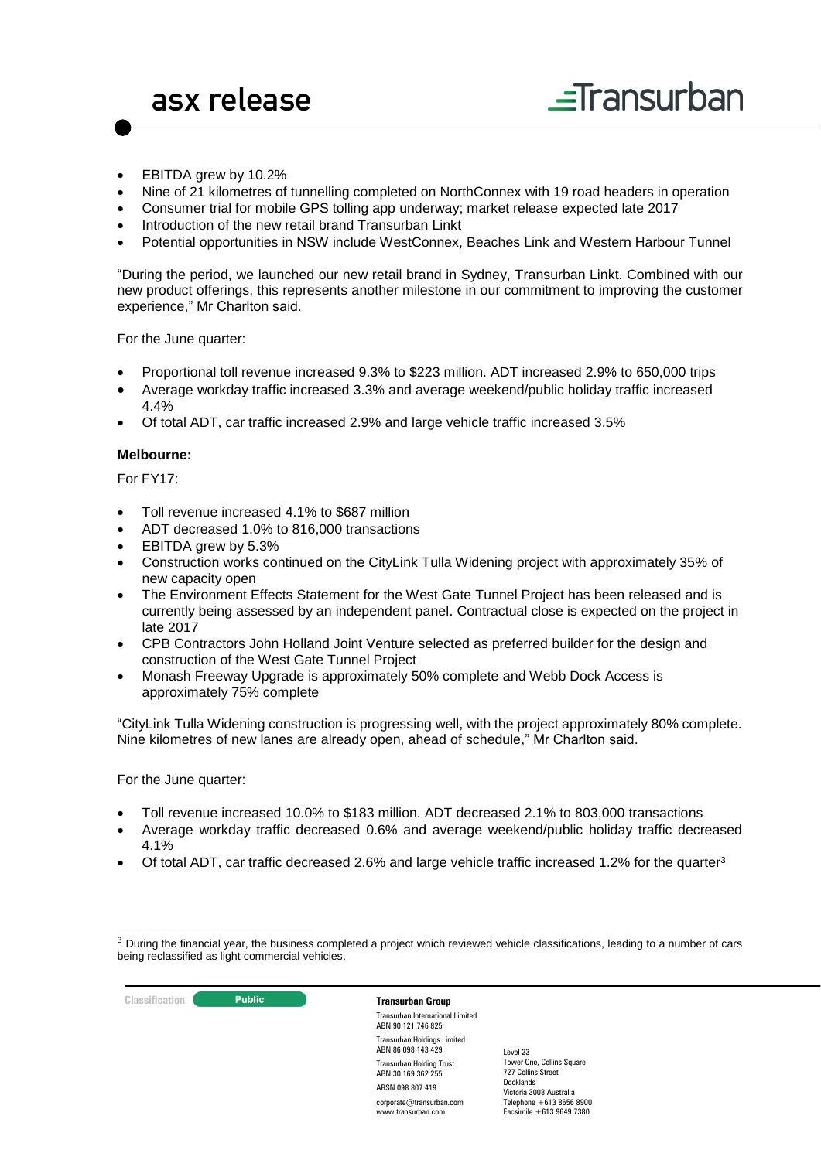- EBITDA grew by 10.2%
- Nine of 21 kilometres of tunnelling completed on NorthConnex with 19 road headers in operation
- Consumer trial for mobile GPS tolling app underway; market release expected late 2017
- Introduction of the new retail brand Transurban Linkt
- Potential opportunities in NSW include WestConnex, Beaches Link and Western Harbour Tunnel

"During the period, we launched our new retail brand in Sydney, Transurban Linkt. Combined with our new product offerings, this represents another milestone in our commitment to improving the customer experience," Mr Charlton said.

For the June quarter:

- Proportional toll revenue increased 9.3% to \$223 million. ADT increased 2.9% to 650,000 trips
- Average workday traffic increased 3.3% and average weekend/public holiday traffic increased 4.4%
- Of total ADT, car traffic increased 2.9% and large vehicle traffic increased 3.5%

#### **Melbourne:**

For FY17:

- Toll revenue increased 4.1% to \$687 million
- ADT decreased 1.0% to 816,000 transactions
- EBITDA grew by 5.3%
- Construction works continued on the CityLink Tulla Widening project with approximately 35% of new capacity open
- The Environment Effects Statement for the West Gate Tunnel Project has been released and is currently being assessed by an independent panel. Contractual close is expected on the project in late 2017
- CPB Contractors John Holland Joint Venture selected as preferred builder for the design and construction of the West Gate Tunnel Project
- Monash Freeway Upgrade is approximately 50% complete and Webb Dock Access is approximately 75% complete

"CityLink Tulla Widening construction is progressing well, with the project approximately 80% complete. Nine kilometres of new lanes are already open, ahead of schedule," Mr Charlton said.

For the June quarter:

- Toll revenue increased 10.0% to \$183 million. ADT decreased 2.1% to 803,000 transactions
- Average workday traffic decreased 0.6% and average weekend/public holiday traffic decreased 4.1%
- Of total ADT, car traffic decreased 2.6% and large vehicle traffic increased 1.2% for the quarter<sup>3</sup>

<sup>&</sup>lt;sup>3</sup> During the financial year, the business completed a project which reviewed vehicle classifications, leading to a number of cars being reclassified as light commercial vehicles.



-

Transurban International Limited ABN 90 121 746 825 Transurban Holdings Limited ABN 86 098 143 429 Transurban Holding Trust ABN 30 169 362 255 ARSN 098 807 419 corporate@transurban.com

www.transurban.com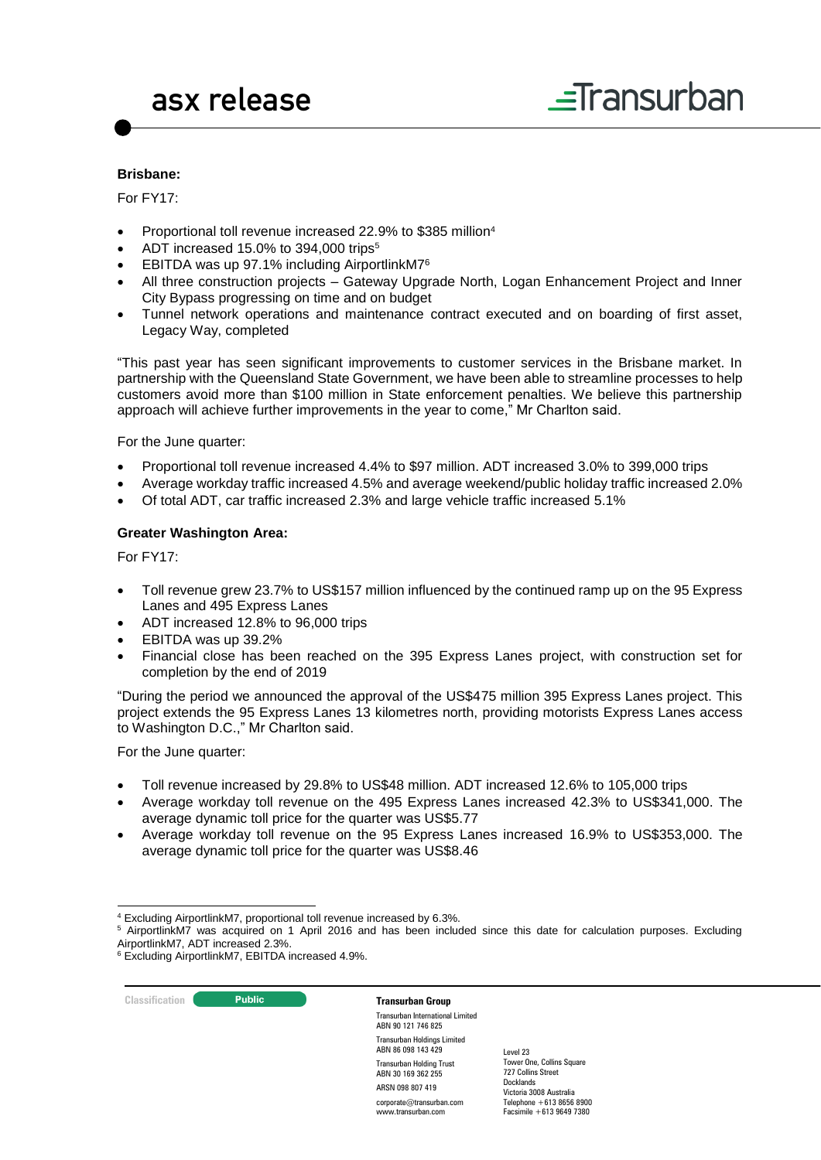### **Brisbane:**

For FY17:

- Proportional toll revenue increased 22.9% to \$385 million<sup>4</sup>
- ADT increased 15.0% to 394,000 trips<sup>5</sup>
- EBITDA was up 97.1% including AirportlinkM7<sup>6</sup>
- All three construction projects Gateway Upgrade North, Logan Enhancement Project and Inner City Bypass progressing on time and on budget
- Tunnel network operations and maintenance contract executed and on boarding of first asset, Legacy Way, completed

"This past year has seen significant improvements to customer services in the Brisbane market. In partnership with the Queensland State Government, we have been able to streamline processes to help customers avoid more than \$100 million in State enforcement penalties. We believe this partnership approach will achieve further improvements in the year to come," Mr Charlton said.

For the June quarter:

- Proportional toll revenue increased 4.4% to \$97 million. ADT increased 3.0% to 399,000 trips
- Average workday traffic increased 4.5% and average weekend/public holiday traffic increased 2.0%
- Of total ADT, car traffic increased 2.3% and large vehicle traffic increased 5.1%

#### **Greater Washington Area:**

For FY17:

- Toll revenue grew 23.7% to US\$157 million influenced by the continued ramp up on the 95 Express Lanes and 495 Express Lanes
- ADT increased 12.8% to 96,000 trips
- EBITDA was up 39.2%
- Financial close has been reached on the 395 Express Lanes project, with construction set for completion by the end of 2019

"During the period we announced the approval of the US\$475 million 395 Express Lanes project. This project extends the 95 Express Lanes 13 kilometres north, providing motorists Express Lanes access to Washington D.C.," Mr Charlton said.

For the June quarter:

- Toll revenue increased by 29.8% to US\$48 million. ADT increased 12.6% to 105,000 trips
- Average workday toll revenue on the 495 Express Lanes increased 42.3% to US\$341,000. The average dynamic toll price for the quarter was US\$5.77
- Average workday toll revenue on the 95 Express Lanes increased 16.9% to US\$353,000. The average dynamic toll price for the quarter was US\$8.46

**Classification C Public Public Transurban Group** 

Transurban International Limited ABN 90 121 746 825 Transurban Holdings Limited ABN 86 098 143 429 Transurban Holding Trust ABN 30 169 362 255 ARSN 098 807 419 corporate@transurban.com

www.transurban.com

<sup>-</sup><sup>4</sup> Excluding AirportlinkM7, proportional toll revenue increased by 6.3%.

<sup>&</sup>lt;sup>5</sup> AirportlinkM7 was acquired on 1 April 2016 and has been included since this date for calculation purposes. Excluding AirportlinkM7, ADT increased 2.3%.

<sup>6</sup> Excluding AirportlinkM7, EBITDA increased 4.9%.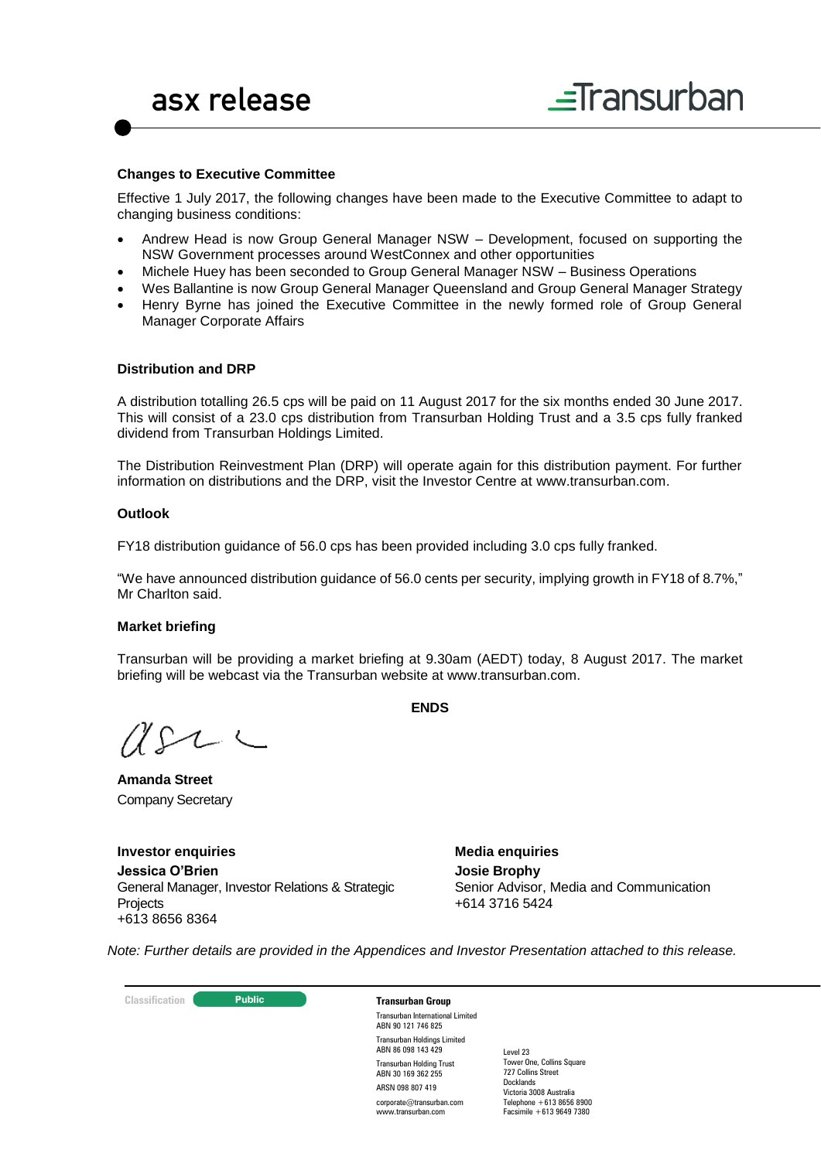#### **Changes to Executive Committee**

Effective 1 July 2017, the following changes have been made to the Executive Committee to adapt to changing business conditions:

- Andrew Head is now Group General Manager NSW Development, focused on supporting the NSW Government processes around WestConnex and other opportunities
- Michele Huey has been seconded to Group General Manager NSW Business Operations
- Wes Ballantine is now Group General Manager Queensland and Group General Manager Strategy
- Henry Byrne has joined the Executive Committee in the newly formed role of Group General Manager Corporate Affairs

#### **Distribution and DRP**

A distribution totalling 26.5 cps will be paid on 11 August 2017 for the six months ended 30 June 2017. This will consist of a 23.0 cps distribution from Transurban Holding Trust and a 3.5 cps fully franked dividend from Transurban Holdings Limited.

The Distribution Reinvestment Plan (DRP) will operate again for this distribution payment. For further information on distributions and the DRP, visit the Investor Centre at [www.transurban.com.](http://www.transurban.com/)

#### **Outlook**

FY18 distribution guidance of 56.0 cps has been provided including 3.0 cps fully franked.

"We have announced distribution guidance of 56.0 cents per security, implying growth in FY18 of 8.7%," Mr Charlton said.

#### **Market briefing**

Transurban will be providing a market briefing at 9.30am (AEDT) today, 8 August 2017. The market briefing will be webcast via the Transurban website at www.transurban.com.

**ENDS**

71 S

**Amanda Street** Company Secretary

**Investor enquiries Jessica O'Brien**  General Manager, Investor Relations & Strategic **Projects** +613 8656 8364

**Media enquiries Josie Brophy** Senior Advisor, Media and Communication +614 3716 5424

*Note: Further details are provided in the Appendices and Investor Presentation attached to this release.*

**Classification Transurban Group**

Transurban International Limited ABN 90 121 746 825 Transurban Holdings Limited ABN 86 098 143 429 Transurban Holding Trust ABN 30 169 362 255 ARSN 098 807 419 corporate@transurban.com www.transurban.com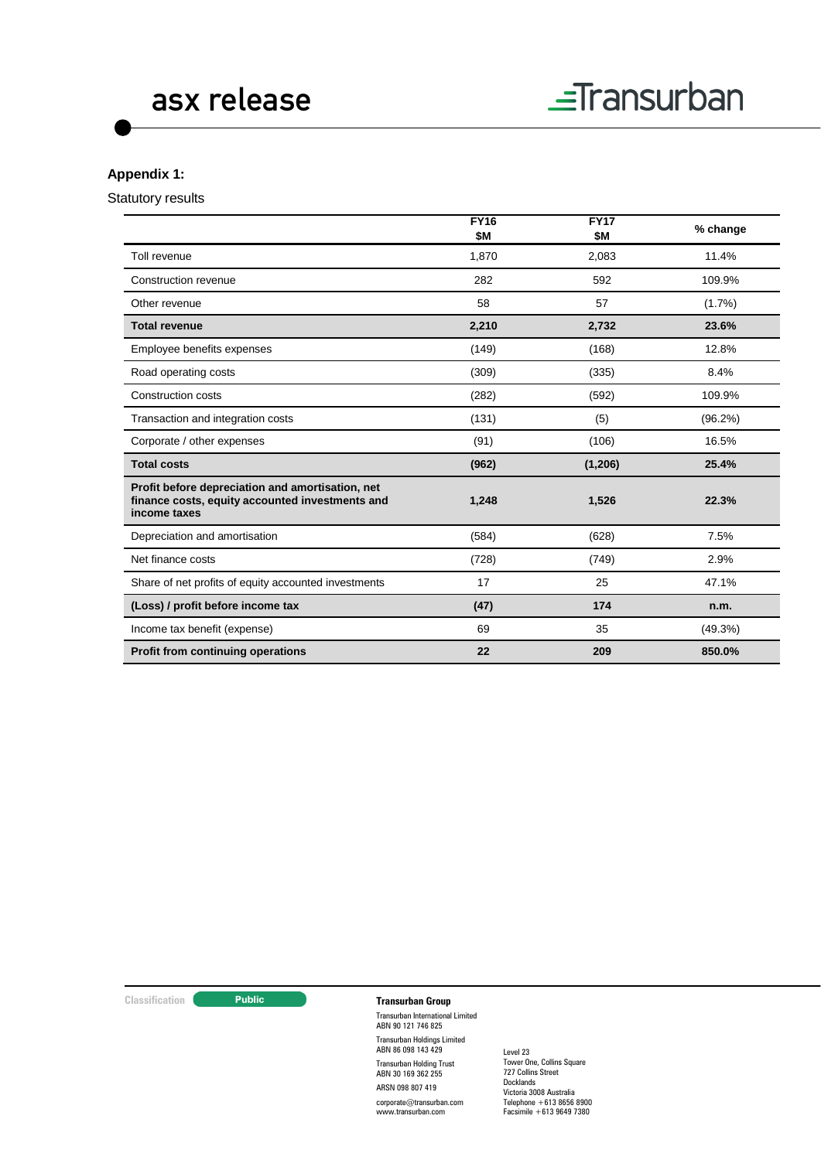

## **Appendix 1:**

Statutory results

|                                                                                                                     | <b>FY16</b><br>\$M | <b>FY17</b><br>\$Μ | % change  |
|---------------------------------------------------------------------------------------------------------------------|--------------------|--------------------|-----------|
| Toll revenue                                                                                                        | 1,870              | 2,083              | 11.4%     |
| Construction revenue                                                                                                | 282                | 592                | 109.9%    |
| Other revenue                                                                                                       | 58                 | 57                 | $(1.7\%)$ |
| <b>Total revenue</b>                                                                                                | 2,210              | 2,732              | 23.6%     |
| Employee benefits expenses                                                                                          | (149)              | (168)              | 12.8%     |
| Road operating costs                                                                                                | (309)              | (335)              | 8.4%      |
| <b>Construction costs</b>                                                                                           | (282)              | (592)              | 109.9%    |
| Transaction and integration costs                                                                                   | (131)              | (5)                | (96.2%)   |
| Corporate / other expenses                                                                                          | (91)               | (106)              | 16.5%     |
| <b>Total costs</b>                                                                                                  | (962)              | (1, 206)           | 25.4%     |
| Profit before depreciation and amortisation, net<br>finance costs, equity accounted investments and<br>income taxes | 1,248              | 1,526              | 22.3%     |
| Depreciation and amortisation                                                                                       | (584)              | (628)              | 7.5%      |
| Net finance costs                                                                                                   | (728)              | (749)              | 2.9%      |
| Share of net profits of equity accounted investments                                                                | 17                 | 25                 | 47.1%     |
| (Loss) / profit before income tax                                                                                   | (47)               | 174                | n.m.      |
| Income tax benefit (expense)                                                                                        | 69                 | 35                 | (49.3%)   |
| <b>Profit from continuing operations</b>                                                                            | 22                 | 209                | 850.0%    |

# **Classification Transurban Group**

Transurban International Limited ABN 90 121 746 825 Transurban Holdings Limited ABN 86 098 143 429 Transurban Holding Trust ABN 30 169 362 255 ARSN 098 807 419

corporate@transurban.com www.transurban.com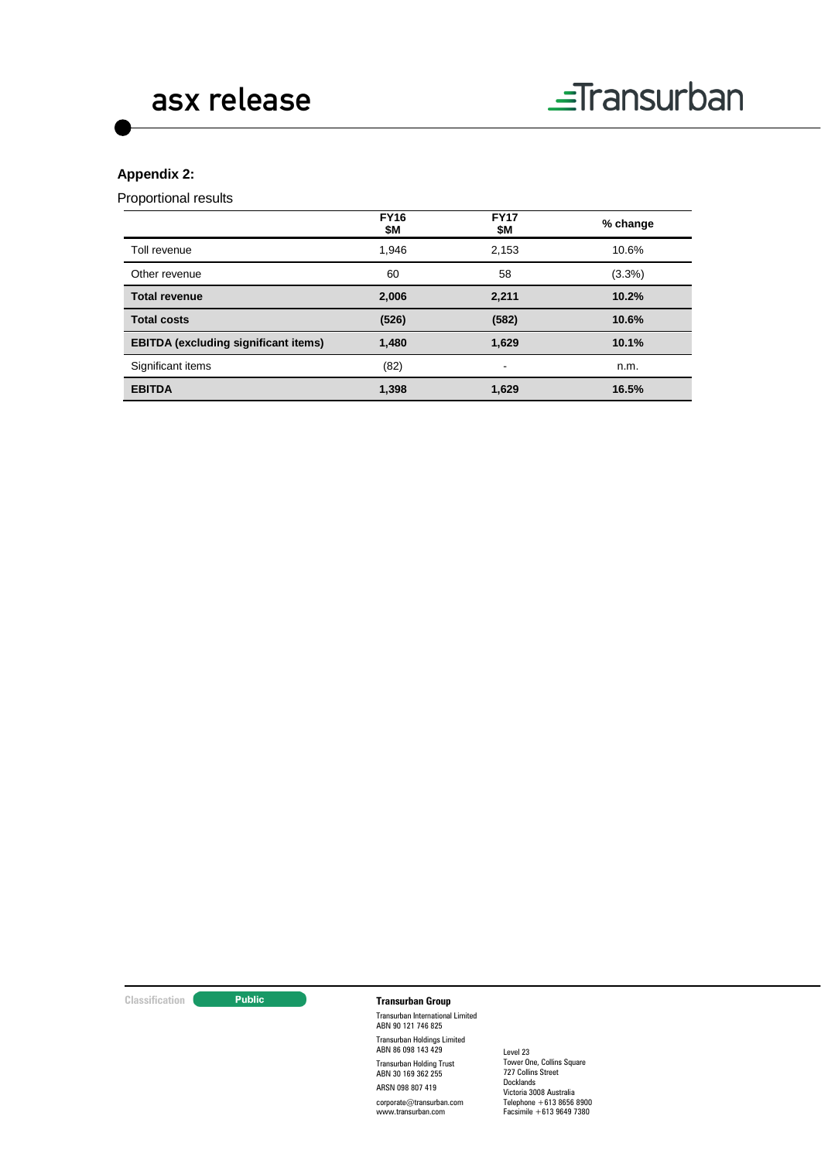

# **Appendix 2:**

Proportional results

|                                             | <b>FY16</b><br>\$Μ | <b>FY17</b><br>\$Μ       | % change |
|---------------------------------------------|--------------------|--------------------------|----------|
| Toll revenue                                | 1,946              | 2.153                    | 10.6%    |
| Other revenue                               | 60                 | 58                       | (3.3%)   |
| <b>Total revenue</b>                        | 2,006              | 2,211                    | 10.2%    |
| <b>Total costs</b>                          | (526)              | (582)                    | 10.6%    |
| <b>EBITDA</b> (excluding significant items) | 1,480              | 1,629                    | 10.1%    |
| Significant items                           | (82)               | $\overline{\phantom{a}}$ | n.m.     |
| <b>EBITDA</b>                               | 1,398              | 1,629                    | 16.5%    |

# **Classification Transurban Group**

Transurban International Limited ABN 90 121 746 825 Transurban Holdings Limited ABN 86 098 143 429 Transurban Holding Trust ABN 30 169 362 255 ARSN 098 807 419

corporate@transurban.com www.transurban.com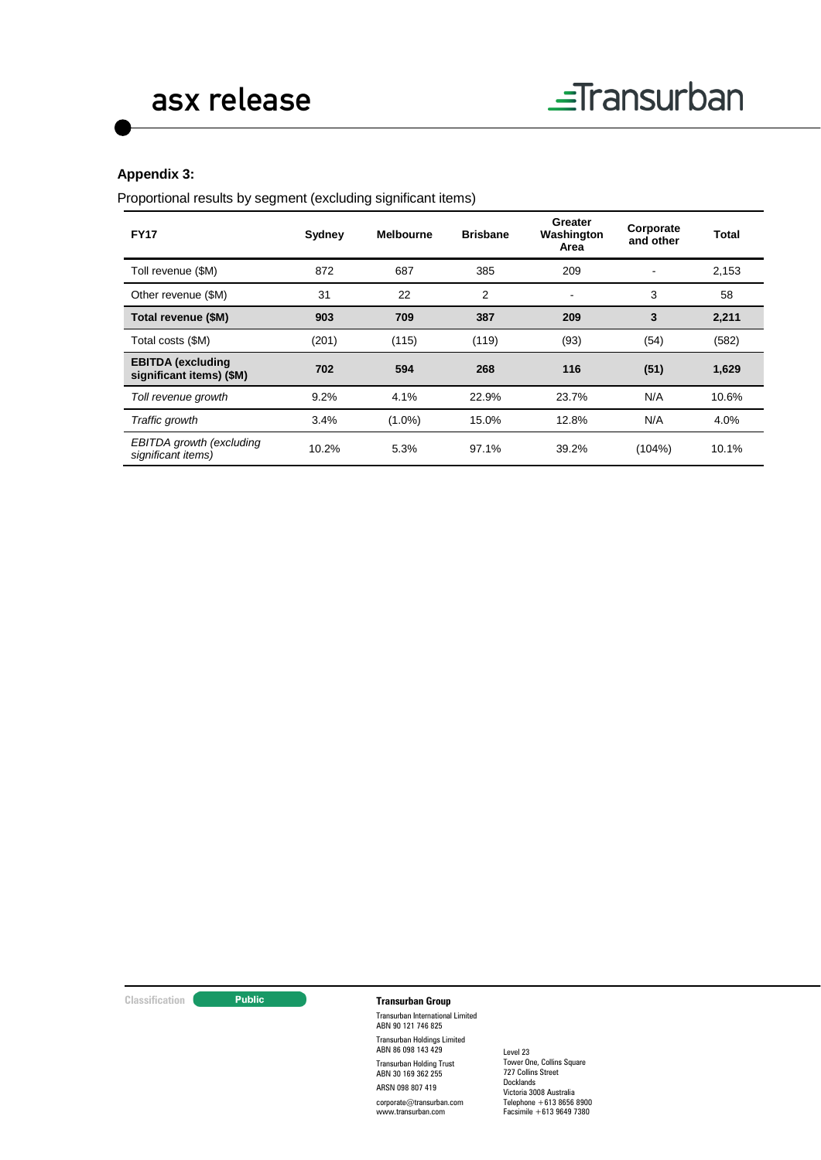# **Appendix 3:**

Proportional results by segment (excluding significant items)

| <b>FY17</b>                                          | Sydney | <b>Melbourne</b> | <b>Brisbane</b> | Greater<br>Washington<br>Area | Corporate<br>and other | Total |
|------------------------------------------------------|--------|------------------|-----------------|-------------------------------|------------------------|-------|
| Toll revenue (\$M)                                   | 872    | 687              | 385             | 209                           |                        | 2,153 |
| Other revenue (\$M)                                  | 31     | 22               | 2               | $\blacksquare$                | 3                      | 58    |
| Total revenue (\$M)                                  | 903    | 709              | 387             | 209                           | 3                      | 2,211 |
| Total costs (\$M)                                    | (201)  | (115)            | (119)           | (93)                          | (54)                   | (582) |
| <b>EBITDA</b> (excluding<br>significant items) (\$M) | 702    | 594              | 268             | 116                           | (51)                   | 1,629 |
| Toll revenue growth                                  | 9.2%   | 4.1%             | 22.9%           | 23.7%                         | N/A                    | 10.6% |
| Traffic growth                                       | 3.4%   | $(1.0\%)$        | 15.0%           | 12.8%                         | N/A                    | 4.0%  |
| EBITDA growth (excluding<br>significant items)       | 10.2%  | 5.3%             | 97.1%           | 39.2%                         | (104%)                 | 10.1% |

# **Classification Transurban Group**

Transurban International Limited ABN 90 121 746 825 Transurban Holdings Limited ABN 86 098 143 429 Transurban Holding Trust ABN 30 169 362 255 ARSN 098 807 419

corporate@transurban.com www.transurban.com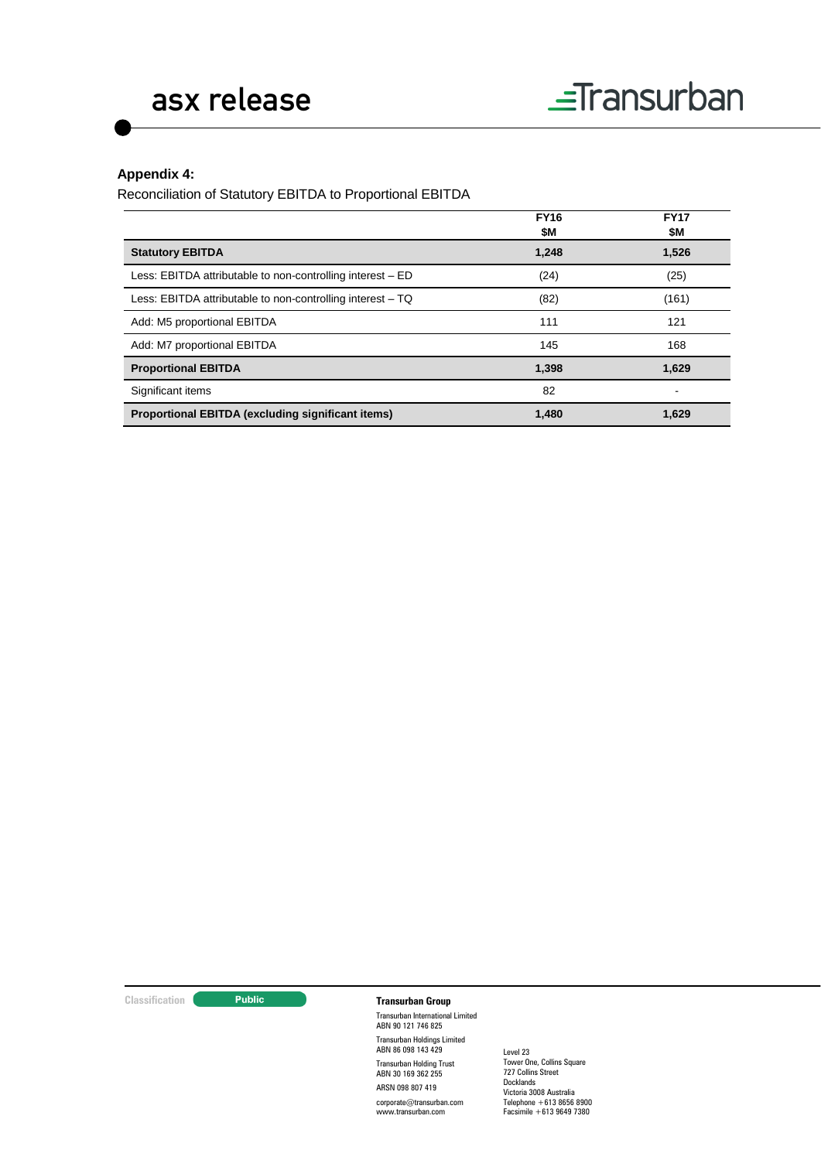# **Appendix 4:**

Reconciliation of Statutory EBITDA to Proportional EBITDA

|                                                            | <b>FY16</b><br>\$M | <b>FY17</b><br>\$M |
|------------------------------------------------------------|--------------------|--------------------|
| <b>Statutory EBITDA</b>                                    | 1,248              | 1,526              |
| Less: EBITDA attributable to non-controlling interest – ED | (24)               | (25)               |
| Less: EBITDA attributable to non-controlling interest – TQ | (82)               | (161)              |
| Add: M5 proportional EBITDA                                | 111                | 121                |
| Add: M7 proportional EBITDA                                | 145                | 168                |
| <b>Proportional EBITDA</b>                                 | 1,398              | 1,629              |
| Significant items                                          | 82                 |                    |
| Proportional EBITDA (excluding significant items)          | 1,480              | 1,629              |

# **Classification Transurban Group**

Transurban International Limited ABN 90 121 746 825 Transurban Holdings Limited ABN 86 098 143 429 Transurban Holding Trust ABN 30 169 362 255 ARSN 098 807 419

corporate@transurban.com www.transurban.com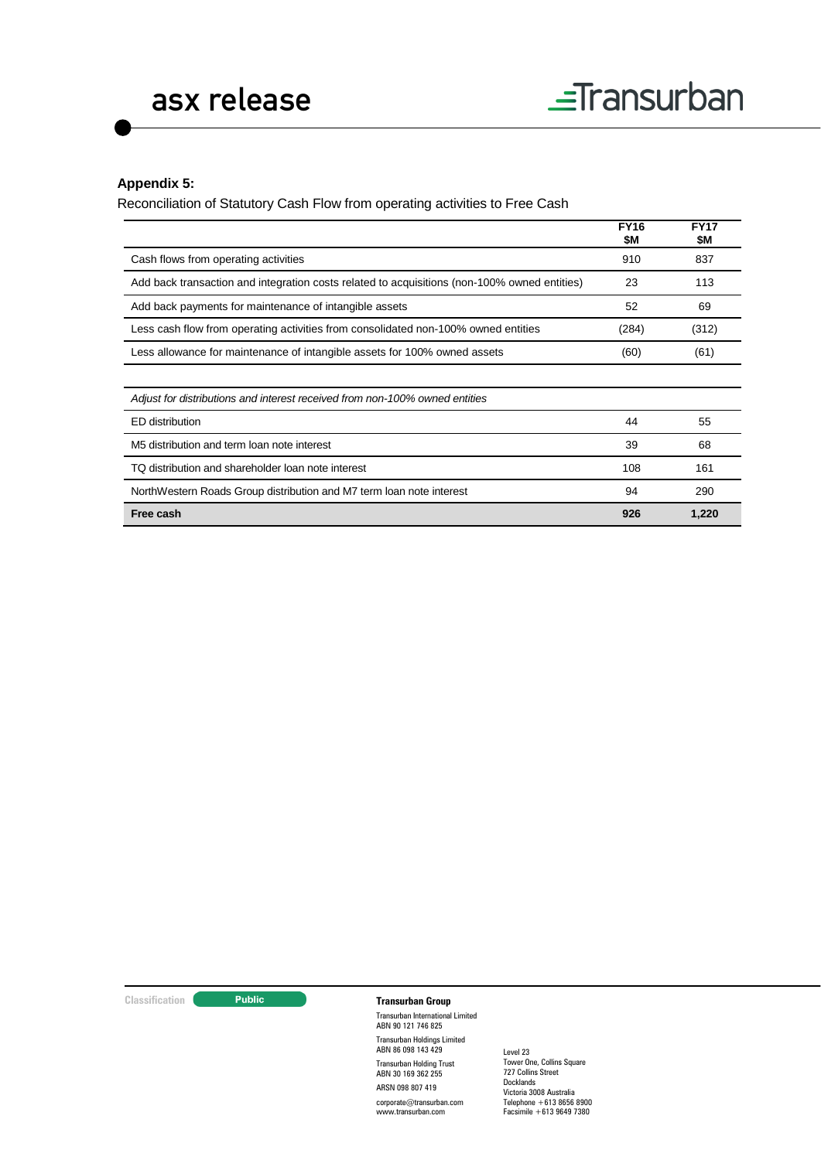## **Appendix 5:**

Reconciliation of Statutory Cash Flow from operating activities to Free Cash

|                                                                                              | <b>FY16</b><br>\$Μ | <b>FY17</b><br>\$M |
|----------------------------------------------------------------------------------------------|--------------------|--------------------|
| Cash flows from operating activities                                                         | 910                | 837                |
| Add back transaction and integration costs related to acquisitions (non-100% owned entities) | 23                 | 113                |
| Add back payments for maintenance of intangible assets                                       | 52                 | 69                 |
| Less cash flow from operating activities from consolidated non-100% owned entities           | (284)              | (312)              |
| Less allowance for maintenance of intangible assets for 100% owned assets                    | (60)               | (61)               |
|                                                                                              |                    |                    |
| Adjust for distributions and interest received from non-100% owned entities                  |                    |                    |
| ED distribution                                                                              | 44                 | 55                 |
| M5 distribution and term loan note interest                                                  | 39                 | 68                 |
| TQ distribution and shareholder loan note interest                                           | 108                | 161                |
| NorthWestern Roads Group distribution and M7 term loan note interest                         | 94                 | 290                |
| Free cash                                                                                    | 926                | 1,220              |

# **Classification Transurban Group**

Transurban International Limited ABN 90 121 746 825 Transurban Holdings Limited ABN 86 098 143 429 Transurban Holding Trust ABN 30 169 362 255 ARSN 098 807 419

corporate@transurban.com www.transurban.com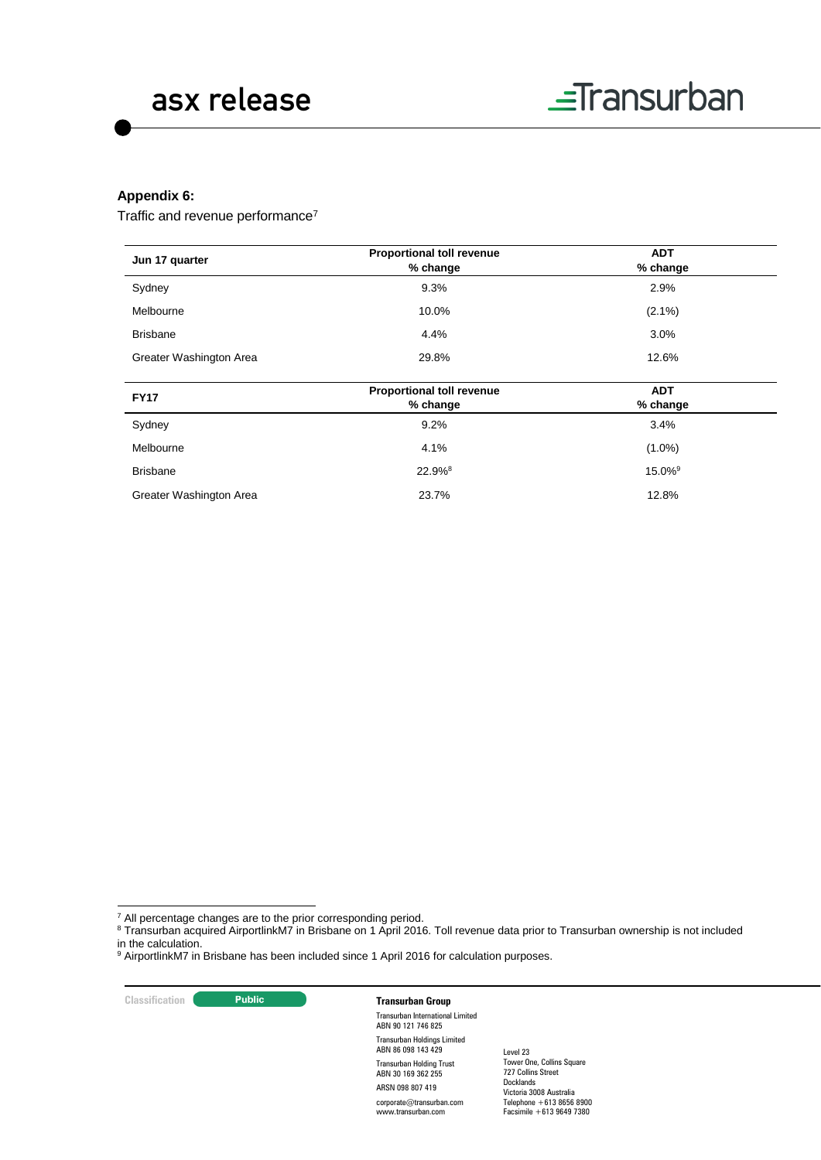### **Appendix 6:**

Traffic and revenue performance<sup>7</sup>

|                         | <b>Proportional toll revenue</b>      | <b>ADT</b>             |  |
|-------------------------|---------------------------------------|------------------------|--|
| Jun 17 quarter          | % change                              | % change               |  |
| Sydney<br>9.3%          |                                       | 2.9%                   |  |
| Melbourne               | 10.0%                                 | $(2.1\%)$              |  |
| <b>Brisbane</b>         | 4.4%                                  | 3.0%                   |  |
| Greater Washington Area | 29.8%                                 | 12.6%                  |  |
|                         |                                       |                        |  |
| <b>FY17</b>             | Proportional toll revenue<br>% change | <b>ADT</b><br>% change |  |
| Sydney                  | 9.2%                                  | 3.4%                   |  |
| Melbourne               | 4.1%                                  | $(1.0\%)$              |  |

| <b>Brisbane</b>         | $22.9%$ <sup>8</sup> | $15.0\%$ <sup>9</sup> |
|-------------------------|----------------------|-----------------------|
| Greater Washington Area | 23.7%                | 12.8%                 |

**Classification Transurban Group** 

-

Transurban International Limited ABN 90 121 746 825 Transurban Holdings Limited ABN 86 098 143 429 Transurban Holding Trust ABN 30 169 362 255 ARSN 098 807 419 corporate@transurban.com www.transurban.com

 $7$  All percentage changes are to the prior corresponding period.

<sup>&</sup>lt;sup>8</sup> Transurban acquired AirportlinkM7 in Brisbane on 1 April 2016. Toll revenue data prior to Transurban ownership is not included in the calculation.

<sup>&</sup>lt;sup>9</sup> AirportlinkM7 in Brisbane has been included since 1 April 2016 for calculation purposes.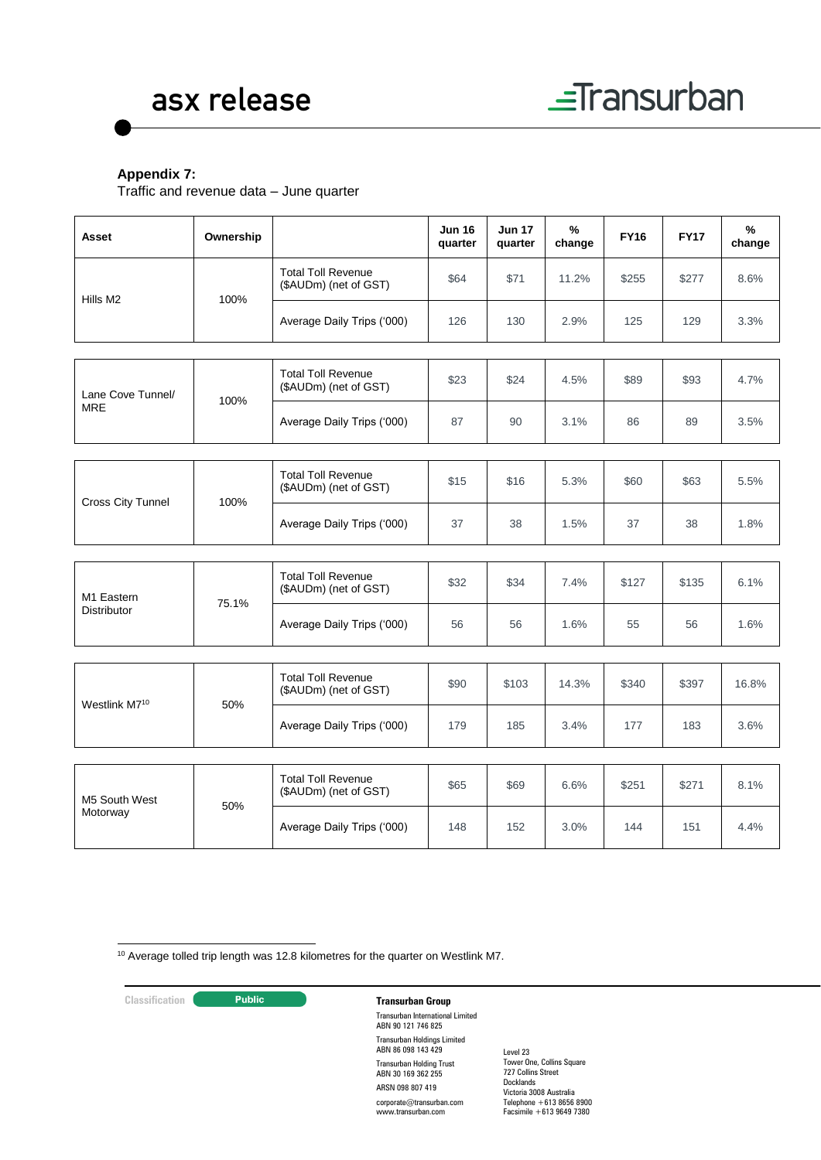

# **Appendix 7:**

Traffic and revenue data – June quarter

| Asset                              | Ownership                  |                                                    | <b>Jun 16</b><br>quarter | <b>Jun 17</b><br>quarter | ℅<br>change | <b>FY16</b> | <b>FY17</b> | $\frac{9}{6}$<br>change |
|------------------------------------|----------------------------|----------------------------------------------------|--------------------------|--------------------------|-------------|-------------|-------------|-------------------------|
| Hills M <sub>2</sub>               | 100%                       | <b>Total Toll Revenue</b><br>(\$AUDm) (net of GST) | \$64                     | \$71                     | 11.2%       | \$255       | \$277       | 8.6%                    |
|                                    |                            | Average Daily Trips ('000)                         | 126                      | 130                      | 2.9%        | 125         | 129         | 3.3%                    |
|                                    |                            |                                                    |                          |                          |             |             |             |                         |
| Lane Cove Tunnel/                  | 100%                       | <b>Total Toll Revenue</b><br>(\$AUDm) (net of GST) | \$23                     | \$24                     | 4.5%        | \$89        | \$93        | 4.7%                    |
| <b>MRE</b>                         |                            | Average Daily Trips ('000)                         | 87                       | 90                       | 3.1%        | 86          | 89          | 3.5%                    |
|                                    |                            |                                                    |                          |                          |             |             |             |                         |
| Cross City Tunnel<br>100%          |                            | <b>Total Toll Revenue</b><br>(\$AUDm) (net of GST) | \$15                     | \$16                     | 5.3%        | \$60        | \$63        | 5.5%                    |
|                                    |                            | Average Daily Trips ('000)                         | 37                       | 38                       | 1.5%        | 37          | 38          | 1.8%                    |
|                                    |                            |                                                    |                          |                          |             |             |             |                         |
| M1 Eastern<br>75.1%<br>Distributor |                            | <b>Total Toll Revenue</b><br>(\$AUDm) (net of GST) | \$32                     | \$34                     | 7.4%        | \$127       | \$135       | 6.1%                    |
|                                    | Average Daily Trips ('000) | 56                                                 | 56                       | 1.6%                     | 55          | 56          | 1.6%        |                         |
|                                    |                            |                                                    |                          |                          |             |             |             |                         |
| Westlink M7 <sup>10</sup>          | 50%                        | <b>Total Toll Revenue</b><br>(\$AUDm) (net of GST) | \$90                     | \$103                    | 14.3%       | \$340       | \$397       | 16.8%                   |
|                                    |                            | Average Daily Trips ('000)                         | 179                      | 185                      | 3.4%        | 177         | 183         | 3.6%                    |
|                                    |                            |                                                    |                          |                          |             |             |             |                         |
| M5 South West                      |                            | <b>Total Toll Revenue</b><br>(\$AUDm) (net of GST) | \$65                     | \$69                     | 6.6%        | \$251       | \$271       | 8.1%                    |
| Motorway                           | 50%                        | Average Daily Trips ('000)                         | 148                      | 152                      | 3.0%        | 144         | 151         | 4.4%                    |

1 <sup>10</sup> Average tolled trip length was 12.8 kilometres for the quarter on Westlink M7.

# **Classification C Transurban Group**

Transurban International Limited ABN 90 121 746 825 Transurban Holdings Limited ABN 86 098 143 429 Transurban Holding Trust ABN 30 169 362 255 ARSN 098 807 419 corporate@transurban.com www.transurban.com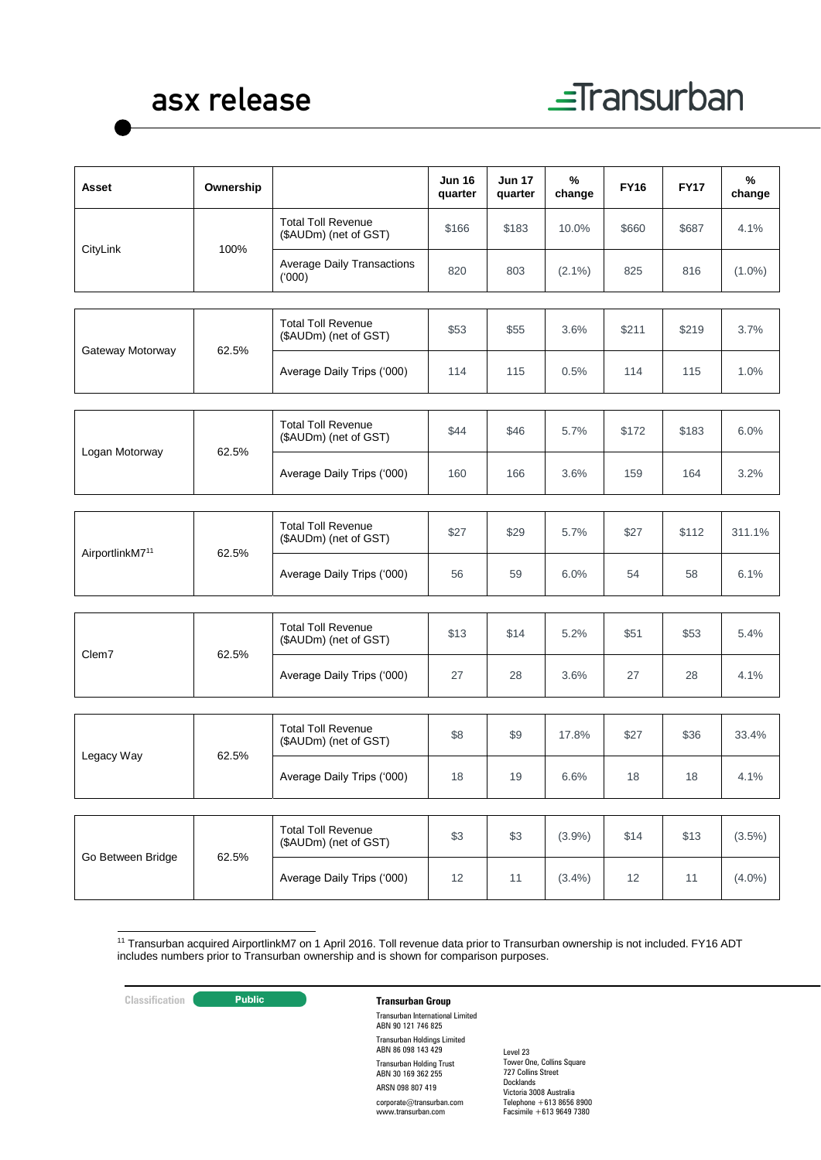# asx release



| Asset                                | Ownership |                                                    | Jun 16<br>quarter | <b>Jun 17</b><br>quarter | %<br>change | <b>FY16</b> | <b>FY17</b> | %<br>change |
|--------------------------------------|-----------|----------------------------------------------------|-------------------|--------------------------|-------------|-------------|-------------|-------------|
|                                      |           | <b>Total Toll Revenue</b><br>(\$AUDm) (net of GST) | \$166             | \$183                    | 10.0%       | \$660       | \$687       | 4.1%        |
| CityLink                             | 100%      | <b>Average Daily Transactions</b><br>(000)         | 820               | 803                      | $(2.1\%)$   | 825         | 816         | $(1.0\%)$   |
|                                      |           | <b>Total Toll Revenue</b><br>(\$AUDm) (net of GST) | \$53              | \$55                     | 3.6%        | \$211       | \$219       | 3.7%        |
| Gateway Motorway                     | 62.5%     | Average Daily Trips ('000)                         | 114               | 115                      | 0.5%        | 114         | 115         | 1.0%        |
|                                      |           |                                                    |                   |                          |             |             |             |             |
| Logan Motorway                       | 62.5%     | <b>Total Toll Revenue</b><br>(\$AUDm) (net of GST) | \$44              | \$46                     | 5.7%        | \$172       | \$183       | 6.0%        |
|                                      |           | Average Daily Trips ('000)                         | 160               | 166                      | 3.6%        | 159         | 164         | 3.2%        |
|                                      |           |                                                    |                   |                          |             |             |             |             |
| AirportlinkM7 <sup>11</sup><br>62.5% |           | <b>Total Toll Revenue</b><br>(\$AUDm) (net of GST) | \$27              | \$29                     | 5.7%        | \$27        | \$112       | 311.1%      |
|                                      |           | Average Daily Trips ('000)                         | 56                | 59                       | 6.0%        | 54          | 58          | 6.1%        |
|                                      |           |                                                    |                   |                          |             |             |             |             |
| 62.5%<br>Clem7                       |           | <b>Total Toll Revenue</b><br>(\$AUDm) (net of GST) | \$13              | \$14                     | 5.2%        | \$51        | \$53        | 5.4%        |
|                                      |           | Average Daily Trips ('000)                         | 27                | 28                       | 3.6%        | 27          | 28          | 4.1%        |
|                                      |           |                                                    |                   |                          |             |             |             |             |
|                                      |           | <b>Total Toll Revenue</b><br>(\$AUDm) (net of GST) | \$8               | \$9                      | 17.8%       | \$27        | \$36        | 33.4%       |
| Legacy Way                           | 62.5%     | Average Daily Trips ('000)                         | 18                | 19                       | 6.6%        | 18          | 18          | 4.1%        |
|                                      |           |                                                    |                   |                          |             |             |             |             |
|                                      |           | <b>Total Toll Revenue</b><br>(\$AUDm) (net of GST) | \$3               | \$3                      | $(3.9\%)$   | \$14        | \$13        | $(3.5\%)$   |
| Go Between Bridge                    | 62.5%     | Average Daily Trips ('000)                         | 12                | 11                       | $(3.4\%)$   | 12          | 11          | $(4.0\%)$   |

1 <sup>11</sup> Transurban acquired AirportlinkM7 on 1 April 2016. Toll revenue data prior to Transurban ownership is not included. FY16 ADT includes numbers prior to Transurban ownership and is shown for comparison purposes.

# **Classification Transurban Group**

Transurban International Limited ABN 90 121 746 825 Transurban Holdings Limited ABN 86 098 143 429 Transurban Holding Trust ABN 30 169 362 255 ARSN 098 807 419 corporate@transurban.com www.transurban.com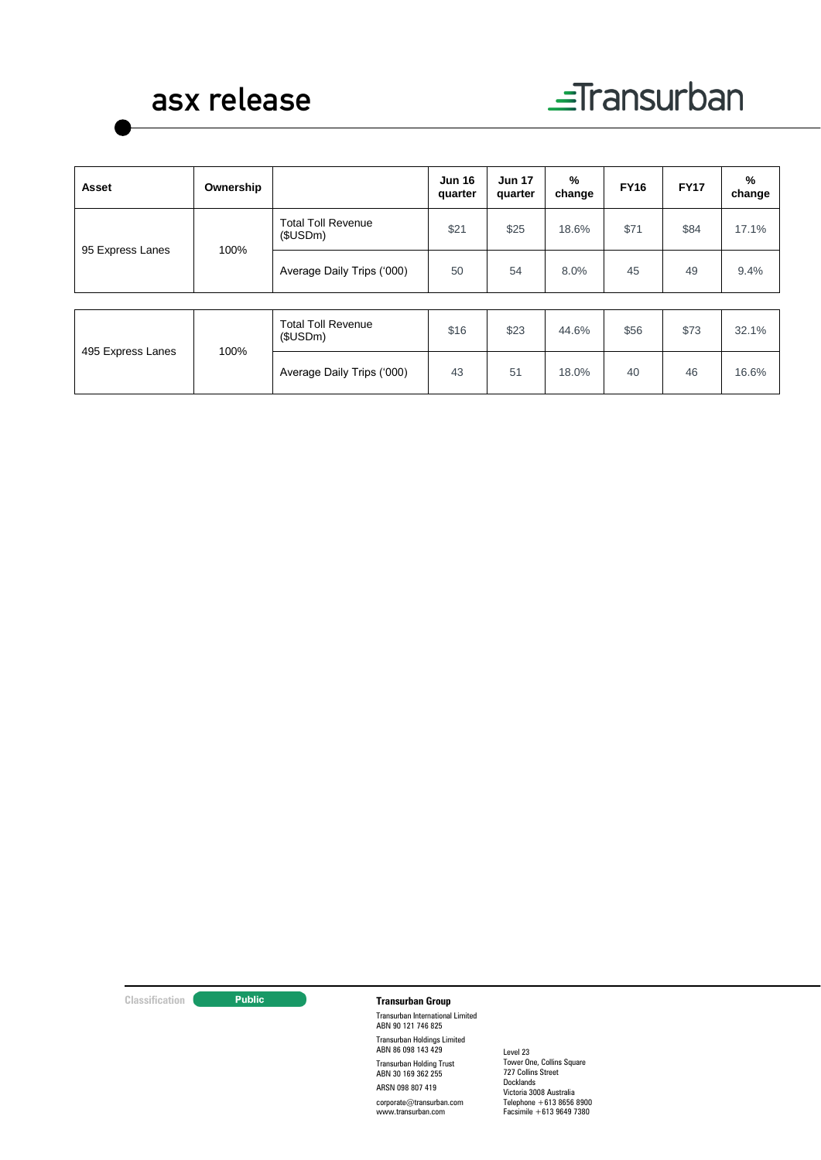# asx release

| Asset                    | Ownership                             |                                       | <b>Jun 16</b><br>quarter | <b>Jun 17</b><br>quarter | %<br>change | <b>FY16</b> | <b>FY17</b> | %<br>change |
|--------------------------|---------------------------------------|---------------------------------------|--------------------------|--------------------------|-------------|-------------|-------------|-------------|
| 95 Express Lanes<br>100% | <b>Total Toll Revenue</b><br>(\$USDm) | \$21                                  | \$25                     | 18.6%                    | \$71        | \$84        | 17.1%       |             |
|                          | Average Daily Trips ('000)            | 50                                    | 54                       | 8.0%                     | 45          | 49          | 9.4%        |             |
|                          |                                       |                                       |                          |                          |             |             |             |             |
| 495 Express Lanes        |                                       | <b>Total Toll Revenue</b><br>(\$USDm) | \$16                     | \$23                     | 44.6%       | \$56        | \$73        | 32.1%       |
|                          | 100%                                  | Average Daily Trips ('000)            | 43                       | 51                       | 18.0%       | 40          | 46          | 16.6%       |

# **Classification Transurban Group**

Transurban International Limited ABN 90 121 746 825 Transurban Holdings Limited ABN 86 098 143 429 Transurban Holding Trust ABN 30 169 362 255 ARSN 098 807 419

corporate@transurban.com www.transurban.com